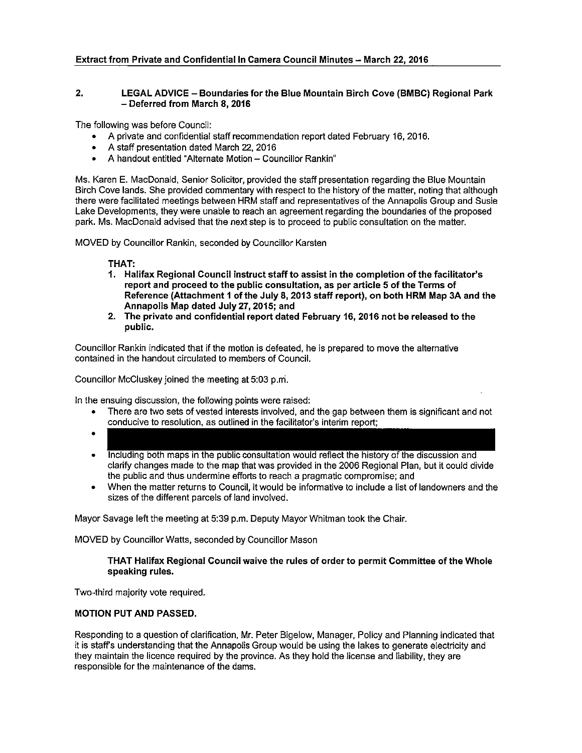### 2. LEGAL ADVICE — Boundaries for the Blue Mountain Birch Cove (BMBC) Regional Park — Deferred from March 8, 2016

The following was before Council:

- A private and confidential staff recommendation report dated February 16, 2016.
- A staff presentation dated March 22, 2016
- A handout entitled "Alternate Motion Councillor Rankin"

Ms. Karen E. MacDonald, Senior Solicitor, provided the staff presentation regarding the Blue Mountain Birch Cove lands. She provided commentary with respect to the history of the matter, noting that although there were facilitated meetings between HRM staff and representatives of the Annapolis Group and Susie Lake Developments, they were unable to reach an agreement regarding the boundaries of the proposed park. Ms. MacDonald advised that the next step is to proceed to public consultation on the matter.

MOVED by Councillor Rankin, seconded by Councillor Karsten

THAT:

- 1. Halifax Regional Council instruct staff to assist in the completion of the facilitator's report and proceed to the public consultation, as per article <sup>5</sup> of the Terms of Reference (Attachment I of the July 8,2013 staff report), on both HRM Map 3A and the Annapolis Map dated July 27,2015; and
- 2. The private and confidential report dated February 16, 2016 not be released to the public.

Councillor Rankin indicated that if the motion is defeated, he is prepared to move the alternative contained in the handout circulated to members of Council.

Councillor McCluskey joined the meeting at 5:03 p.ni.

In the ensuing discussion, the following points were raised:

- There are two sets of vested interests involved, and the gap between them is significant and not conducive to resolution, as outlined in the facilitator's interim report;
	-
- Including both maps in the public consultation would reflect the history of the discussion and clarify changes made to the map that was provided in the 2006 Regional Plan, but it could divide the public and thus undermine efforts to reach a pragmatic compromise; and
- When the matter returns to Council, it would be informative to include a list of landowners and the sizes of the different parcels of land involved.

Mayor Savage left the meeting at 5:39 p.m. Deputy Mayor Whitman took the Chair.

MOVED by Councillor Watts, seconded by Councillor Mason

#### THAT Halifax Regional Council waive the rules of order to permit Committee of the Whole speaking rules.

Two-third majority vote required.

#### MOTION PUT AND PASSED.

Responding to a question of clarification, Mr. Peter Bigelow, Manager, Policy and Planning indicated that it is staffs understanding that the Annapolis Group would be using the lakes to generate electricity and they maintain the licence required by the province. As they hold the license and liability, they are responsible for the maintenance of the dams.